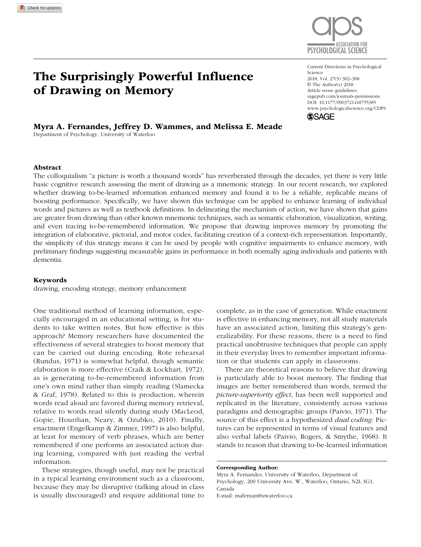# The Surprisingly Powerful Influence of Drawing on Memory

**ASSOCIATION FOR**<br>PSYCHOLOGICAL SCIENCE

Current Directions in Psychological Science 2018, Vol. 27(5) 302–308 © The Author(s) 2018 Article reuse guidelines: [sagepub.com/journals-permissions](https://us.sagepub.com/en-us/journals-permissions) DOI: 10.1177/0963721418755385 [www.psychologicalscience.org/CDPS](http://www.psychologicalscience.org/cdps) **SSAGE** 

Myra A. Fernandes, Jeffrey D. Wammes, and Melissa E. Meade Department of Psychology, University of Waterloo

#### Abstract

The colloquialism "a picture is worth a thousand words" has reverberated through the decades, yet there is very little basic cognitive research assessing the merit of drawing as a mnemonic strategy. In our recent research, we explored whether drawing to-be-learned information enhanced memory and found it to be a reliable, replicable means of boosting performance. Specifically, we have shown this technique can be applied to enhance learning of individual words and pictures as well as textbook definitions. In delineating the mechanism of action, we have shown that gains are greater from drawing than other known mnemonic techniques, such as semantic elaboration, visualization, writing, and even tracing to-be-remembered information. We propose that drawing improves memory by promoting the integration of elaborative, pictorial, and motor codes, facilitating creation of a context-rich representation. Importantly, the simplicity of this strategy means it can be used by people with cognitive impairments to enhance memory, with preliminary findings suggesting measurable gains in performance in both normally aging individuals and patients with dementia.

### Keywords

drawing, encoding strategy, memory enhancement

One traditional method of learning information, especially encouraged in an educational setting, is for students to take written notes. But how effective is this approach? Memory researchers have documented the effectiveness of several strategies to boost memory that can be carried out during encoding. Rote rehearsal (Rundus, 1971) is somewhat helpful, though semantic elaboration is more effective (Craik & Lockhart, 1972), as is generating to-be-remembered information from one's own mind rather than simply reading (Slamecka & Graf, 1978). Related to this is production, wherein words read aloud are favored during memory retrieval, relative to words read silently during study (MacLeod, Gopie, Hourihan, Neary, & Ozubko, 2010). Finally, enactment (Engelkamp & Zimmer, 1997) is also helpful, at least for memory of verb phrases, which are better remembered if one performs an associated action during learning, compared with just reading the verbal information.

These strategies, though useful, may not be practical in a typical learning environment such as a classroom, because they may be disruptive (talking aloud in class is usually discouraged) and require additional time to

complete, as in the case of generation. While enactment is effective in enhancing memory, not all study materials have an associated action, limiting this strategy's generalizability. For these reasons, there is a need to find practical unobtrusive techniques that people can apply in their everyday lives to remember important information or that students can apply in classrooms.

There are theoretical reasons to believe that drawing is particularly able to boost memory. The finding that images are better remembered than words, termed the *picture-superiority effect*, has been well supported and replicated in the literature, consistently across various paradigms and demographic groups (Paivio, 1971). The source of this effect is a hypothesized *dual coding*: Pictures can be represented in terms of visual features and also verbal labels (Paivio, Rogers, & Smythe, 1968). It stands to reason that drawing to-be-learned information

#### Corresponding Author:

Myra A. Fernandes, University of Waterloo, Department of Psychology, 200 University Ave. W., Waterloo, Ontario, N2L 3G1, Canada

E-mail: [mafernan@uwaterloo.ca](mailto:mafernan@uwaterloo.ca)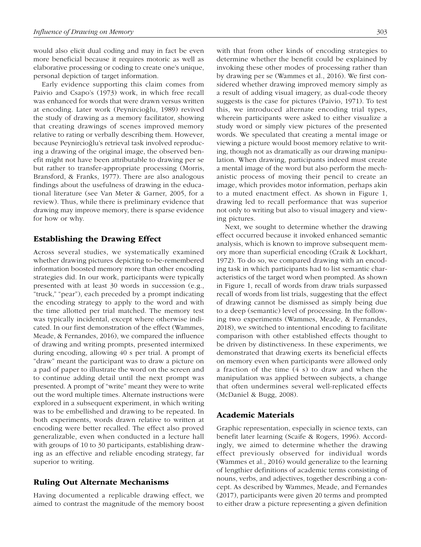would also elicit dual coding and may in fact be even more beneficial because it requires motoric as well as elaborative processing or coding to create one's unique, personal depiction of target information.

Early evidence supporting this claim comes from Paivio and Csapo's (1973) work, in which free recall was enhanced for words that were drawn versus written at encoding. Later work (Peynircioğlu, 1989) revived the study of drawing as a memory facilitator, showing that creating drawings of scenes improved memory relative to rating or verbally describing them. However, because Peynircioğlu's retrieval task involved reproducing a drawing of the original image, the observed benefit might not have been attributable to drawing per se but rather to transfer-appropriate processing (Morris, Bransford, & Franks, 1977). There are also analogous findings about the usefulness of drawing in the educational literature (see Van Meter & Garner, 2005, for a review). Thus, while there is preliminary evidence that drawing may improve memory, there is sparse evidence for how or why.

## Establishing the Drawing Effect

Across several studies, we systematically examined whether drawing pictures depicting to-be-remembered information boosted memory more than other encoding strategies did. In our work, participants were typically presented with at least 30 words in succession (e.g., "truck," "pear"), each preceded by a prompt indicating the encoding strategy to apply to the word and with the time allotted per trial matched. The memory test was typically incidental, except where otherwise indicated. In our first demonstration of the effect (Wammes, Meade, & Fernandes, 2016), we compared the influence of drawing and writing prompts, presented intermixed during encoding, allowing 40 s per trial. A prompt of "draw" meant the participant was to draw a picture on a pad of paper to illustrate the word on the screen and to continue adding detail until the next prompt was presented. A prompt of "write" meant they were to write out the word multiple times. Alternate instructions were explored in a subsequent experiment, in which writing was to be embellished and drawing to be repeated. In both experiments, words drawn relative to written at encoding were better recalled. The effect also proved generalizable, even when conducted in a lecture hall with groups of 10 to 30 participants, establishing drawing as an effective and reliable encoding strategy, far superior to writing.

## Ruling Out Alternate Mechanisms

Having documented a replicable drawing effect, we aimed to contrast the magnitude of the memory boost with that from other kinds of encoding strategies to determine whether the benefit could be explained by invoking these other modes of processing rather than by drawing per se (Wammes et al., 2016). We first considered whether drawing improved memory simply as a result of adding visual imagery, as dual-code theory suggests is the case for pictures (Paivio, 1971). To test this, we introduced alternate encoding trial types, wherein participants were asked to either visualize a study word or simply view pictures of the presented words. We speculated that creating a mental image or viewing a picture would boost memory relative to writing, though not as dramatically as our drawing manipulation. When drawing, participants indeed must create a mental image of the word but also perform the mechanistic process of moving their pencil to create an image, which provides motor information, perhaps akin to a muted enactment effect. As shown in Figure 1, drawing led to recall performance that was superior not only to writing but also to visual imagery and viewing pictures.

Next, we sought to determine whether the drawing effect occurred because it invoked enhanced semantic analysis, which is known to improve subsequent memory more than superficial encoding (Craik & Lockhart, 1972). To do so, we compared drawing with an encoding task in which participants had to list semantic characteristics of the target word when prompted. As shown in Figure 1, recall of words from draw trials surpassed recall of words from list trials, suggesting that the effect of drawing cannot be dismissed as simply being due to a deep (semantic) level of processing. In the following two experiments (Wammes, Meade, & Fernandes, 2018), we switched to intentional encoding to facilitate comparison with other established effects thought to be driven by distinctiveness. In these experiments, we demonstrated that drawing exerts its beneficial effects on memory even when participants were allowed only a fraction of the time (4 s) to draw and when the manipulation was applied between subjects, a change that often undermines several well-replicated effects (McDaniel & Bugg, 2008).

## Academic Materials

Graphic representation, especially in science texts, can benefit later learning (Scaife & Rogers, 1996). Accordingly, we aimed to determine whether the drawing effect previously observed for individual words (Wammes et al., 2016) would generalize to the learning of lengthier definitions of academic terms consisting of nouns, verbs, and adjectives, together describing a concept. As described by Wammes, Meade, and Fernandes (2017), participants were given 20 terms and prompted to either draw a picture representing a given definition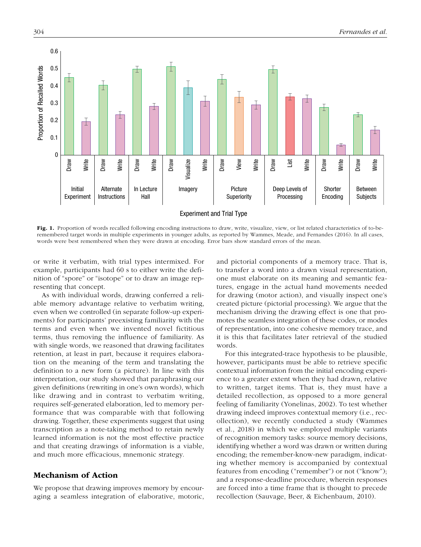

Fig. 1. Proportion of words recalled following encoding instructions to draw, write, visualize, view, or list related characteristics of to-beremembered target words in multiple experiments in younger adults, as reported by Wammes, Meade, and Fernandes (2016). In all cases, words were best remembered when they were drawn at encoding. Error bars show standard errors of the mean.

or write it verbatim, with trial types intermixed. For example, participants had 60 s to either write the definition of "spore" or "isotope" or to draw an image representing that concept.

As with individual words, drawing conferred a reliable memory advantage relative to verbatim writing, even when we controlled (in separate follow-up experiments) for participants' preexisting familiarity with the terms and even when we invented novel fictitious terms, thus removing the influence of familiarity. As with single words, we reasoned that drawing facilitates retention, at least in part, because it requires elaboration on the meaning of the term and translating the definition to a new form (a picture). In line with this interpretation, our study showed that paraphrasing our given definitions (rewriting in one's own words), which like drawing and in contrast to verbatim writing, requires self-generated elaboration, led to memory performance that was comparable with that following drawing. Together, these experiments suggest that using transcription as a note-taking method to retain newly learned information is not the most effective practice and that creating drawings of information is a viable, and much more efficacious, mnemonic strategy.

## Mechanism of Action

We propose that drawing improves memory by encouraging a seamless integration of elaborative, motoric, and pictorial components of a memory trace. That is, to transfer a word into a drawn visual representation, one must elaborate on its meaning and semantic features, engage in the actual hand movements needed for drawing (motor action), and visually inspect one's created picture (pictorial processing). We argue that the mechanism driving the drawing effect is one that promotes the seamless integration of these codes, or modes of representation, into one cohesive memory trace, and it is this that facilitates later retrieval of the studied words.

For this integrated-trace hypothesis to be plausible, however, participants must be able to retrieve specific contextual information from the initial encoding experience to a greater extent when they had drawn, relative to written, target items. That is, they must have a detailed recollection, as opposed to a more general feeling of familiarity (Yonelinas, 2002). To test whether drawing indeed improves contextual memory (i.e., recollection), we recently conducted a study (Wammes et al., 2018) in which we employed multiple variants of recognition memory tasks: source memory decisions, identifying whether a word was drawn or written during encoding; the remember-know-new paradigm, indicating whether memory is accompanied by contextual features from encoding ("remember") or not ("know"); and a response-deadline procedure, wherein responses are forced into a time frame that is thought to precede recollection (Sauvage, Beer, & Eichenbaum, 2010).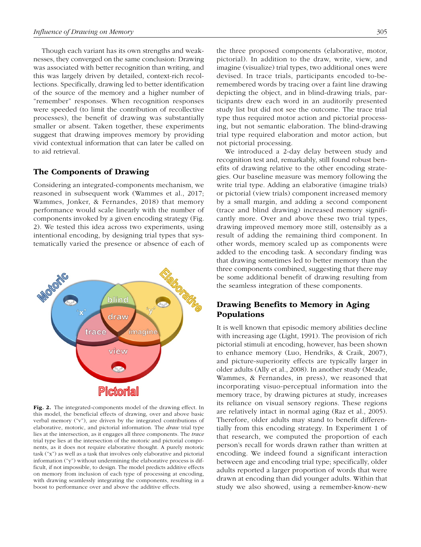Though each variant has its own strengths and weaknesses, they converged on the same conclusion: Drawing was associated with better recognition than writing, and this was largely driven by detailed, context-rich recollections. Specifically, drawing led to better identification of the source of the memory and a higher number of "remember" responses. When recognition responses were speeded (to limit the contribution of recollective processes), the benefit of drawing was substantially smaller or absent. Taken together, these experiments suggest that drawing improves memory by providing vivid contextual information that can later be called on to aid retrieval.

## The Components of Drawing

Considering an integrated-components mechanism, we reasoned in subsequent work (Wammes et al., 2017; Wammes, Jonker, & Fernandes, 2018) that memory performance would scale linearly with the number of components invoked by a given encoding strategy (Fig. 2). We tested this idea across two experiments, using intentional encoding, by designing trial types that systematically varied the presence or absence of each of



Fig. 2. The integrated-components model of the drawing effect. In this model, the beneficial effects of drawing, over and above basic verbal memory ("v"), are driven by the integrated contributions of elaborative, motoric, and pictorial information. The *draw* trial type lies at the intersection, as it engages all three components. The *trace* trial type lies at the intersection of the motoric and pictorial components, as it does not require elaborative thought. A purely motoric task ("x") as well as a task that involves only elaborative and pictorial information ("y") without undermining the elaborative process is difficult, if not impossible, to design. The model predicts additive effects on memory from inclusion of each type of processing at encoding, with drawing seamlessly integrating the components, resulting in a boost to performance over and above the additive effects.

the three proposed components (elaborative, motor, pictorial). In addition to the draw, write, view, and imagine (visualize) trial types, two additional ones were devised. In trace trials, participants encoded to-beremembered words by tracing over a faint line drawing depicting the object, and in blind-drawing trials, participants drew each word in an auditorily presented study list but did not see the outcome. The trace trial type thus required motor action and pictorial processing, but not semantic elaboration. The blind-drawing trial type required elaboration and motor action, but not pictorial processing.

We introduced a 2-day delay between study and recognition test and, remarkably, still found robust benefits of drawing relative to the other encoding strategies. Our baseline measure was memory following the write trial type. Adding an elaborative (imagine trials) or pictorial (view trials) component increased memory by a small margin, and adding a second component (trace and blind drawing) increased memory significantly more. Over and above these two trial types, drawing improved memory more still, ostensibly as a result of adding the remaining third component. In other words, memory scaled up as components were added to the encoding task. A secondary finding was that drawing sometimes led to better memory than the three components combined, suggesting that there may be some additional benefit of drawing resulting from the seamless integration of these components.

## Drawing Benefits to Memory in Aging Populations

It is well known that episodic memory abilities decline with increasing age (Light, 1991). The provision of rich pictorial stimuli at encoding, however, has been shown to enhance memory (Luo, Hendriks, & Craik, 2007), and picture-superiority effects are typically larger in older adults (Ally et al., 2008). In another study (Meade, Wammes, & Fernandes, in press), we reasoned that incorporating visuo-perceptual information into the memory trace, by drawing pictures at study, increases its reliance on visual sensory regions. These regions are relatively intact in normal aging (Raz et al., 2005). Therefore, older adults may stand to benefit differentially from this encoding strategy. In Experiment 1 of that research, we computed the proportion of each person's recall for words drawn rather than written at encoding. We indeed found a significant interaction between age and encoding trial type; specifically, older adults reported a larger proportion of words that were drawn at encoding than did younger adults. Within that study we also showed, using a remember-know-new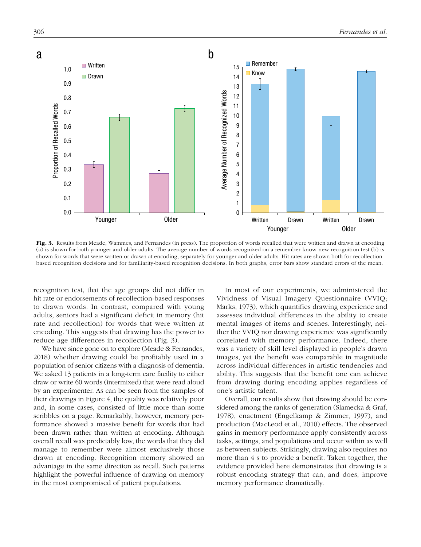

Fig. 3. Results from Meade, Wammes, and Fernandes (in press). The proportion of words recalled that were written and drawn at encoding (a) is shown for both younger and older adults. The average number of words recognized on a remember-know-new recognition test (b) is shown for words that were written or drawn at encoding, separately for younger and older adults. Hit rates are shown both for recollectionbased recognition decisions and for familiarity-based recognition decisions. In both graphs, error bars show standard errors of the mean.

recognition test, that the age groups did not differ in hit rate or endorsements of recollection-based responses to drawn words. In contrast, compared with young adults, seniors had a significant deficit in memory (hit rate and recollection) for words that were written at encoding. This suggests that drawing has the power to reduce age differences in recollection (Fig. 3).

We have since gone on to explore (Meade & Fernandes, 2018) whether drawing could be profitably used in a population of senior citizens with a diagnosis of dementia. We asked 13 patients in a long-term care facility to either draw or write 60 words (intermixed) that were read aloud by an experimenter. As can be seen from the samples of their drawings in Figure 4, the quality was relatively poor and, in some cases, consisted of little more than some scribbles on a page. Remarkably, however, memory performance showed a massive benefit for words that had been drawn rather than written at encoding. Although overall recall was predictably low, the words that they did manage to remember were almost exclusively those drawn at encoding. Recognition memory showed an advantage in the same direction as recall. Such patterns highlight the powerful influence of drawing on memory in the most compromised of patient populations.

In most of our experiments, we administered the Vividness of Visual Imagery Questionnaire (VVIQ; Marks, 1973), which quantifies drawing experience and assesses individual differences in the ability to create mental images of items and scenes. Interestingly, neither the VVIQ nor drawing experience was significantly correlated with memory performance. Indeed, there was a variety of skill level displayed in people's drawn images, yet the benefit was comparable in magnitude across individual differences in artistic tendencies and ability. This suggests that the benefit one can achieve from drawing during encoding applies regardless of one's artistic talent.

Overall, our results show that drawing should be considered among the ranks of generation (Slamecka & Graf, 1978), enactment (Engelkamp & Zimmer, 1997), and production (MacLeod et al., 2010) effects. The observed gains in memory performance apply consistently across tasks, settings, and populations and occur within as well as between subjects. Strikingly, drawing also requires no more than 4 s to provide a benefit. Taken together, the evidence provided here demonstrates that drawing is a robust encoding strategy that can, and does, improve memory performance dramatically.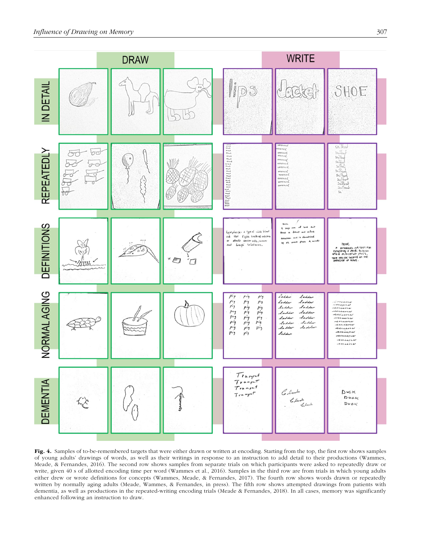

Fig. 4. Samples of to-be-remembered targets that were either drawn or written at encoding. Starting from the top, the first row shows samples of young adults' drawings of words, as well as their writings in response to an instruction to add detail to their productions (Wammes, Meade, & Fernandes, 2016). The second row shows samples from separate trials on which participants were asked to repeatedly draw or write, given 40 s of allotted encoding time per word (Wammes et al., 2016). Samples in the third row are from trials in which young adults either drew or wrote definitions for concepts (Wammes, Meade, & Fernandes, 2017). The fourth row shows words drawn or repeatedly written by normally aging adults (Meade, Wammes, & Fernandes, in press). The fifth row shows attempted drawings from patients with dementia, as well as productions in the repeated-writing encoding trials (Meade & Fernandes, 2018). In all cases, memory was significantly enhanced following an instruction to draw.